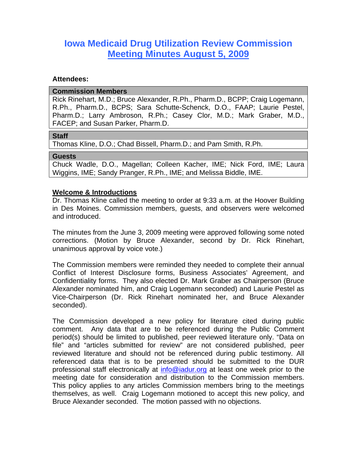# **Iowa Medicaid Drug Utilization Review Commission Meeting Minutes August 5, 2009**

#### **Attendees:**

#### **Commission Members**

Rick Rinehart, M.D.; Bruce Alexander, R.Ph., Pharm.D., BCPP; Craig Logemann, R.Ph., Pharm.D., BCPS; Sara Schutte-Schenck, D.O., FAAP; Laurie Pestel, Pharm.D.; Larry Ambroson, R.Ph.; Casey Clor, M.D.; Mark Graber, M.D., FACEP; and Susan Parker, Pharm.D.

#### **Staff**

Thomas Kline, D.O.; Chad Bissell, Pharm.D.; and Pam Smith, R.Ph.

#### **Guests**

Chuck Wadle, D.O., Magellan; Colleen Kacher, IME; Nick Ford, IME; Laura Wiggins, IME; Sandy Pranger, R.Ph., IME; and Melissa Biddle, IME.

#### **Welcome & Introductions**

Dr. Thomas Kline called the meeting to order at 9:33 a.m. at the Hoover Building in Des Moines. Commission members, guests, and observers were welcomed and introduced.

The minutes from the June 3, 2009 meeting were approved following some noted corrections. (Motion by Bruce Alexander, second by Dr. Rick Rinehart, unanimous approval by voice vote.)

The Commission members were reminded they needed to complete their annual Conflict of Interest Disclosure forms, Business Associates' Agreement, and Confidentiality forms. They also elected Dr. Mark Graber as Chairperson (Bruce Alexander nominated him, and Craig Logemann seconded) and Laurie Pestel as Vice-Chairperson (Dr. Rick Rinehart nominated her, and Bruce Alexander seconded).

The Commission developed a new policy for literature cited during public comment. Any data that are to be referenced during the Public Comment period(s) should be limited to published, peer reviewed literature only. "Data on file" and "articles submitted for review" are not considered published, peer reviewed literature and should not be referenced during public testimony. All referenced data that is to be presented should be submitted to the DUR professional staff electronically at info@iadur.org at least one week prior to the meeting date for consideration and distribution to the Commission members. This policy applies to any articles Commission members bring to the meetings themselves, as well. Craig Logemann motioned to accept this new policy, and Bruce Alexander seconded. The motion passed with no objections.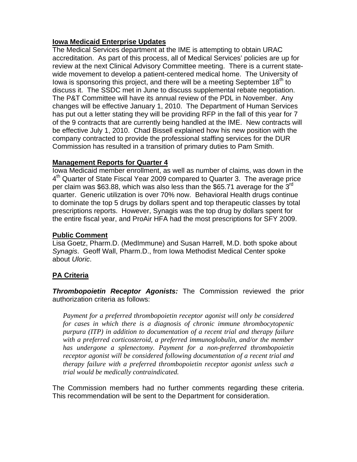## **Iowa Medicaid Enterprise Updates**

The Medical Services department at the IME is attempting to obtain URAC accreditation. As part of this process, all of Medical Services' policies are up for review at the next Clinical Advisory Committee meeting. There is a current statewide movement to develop a patient-centered medical home. The University of Iowa is sponsoring this project, and there will be a meeting September  $18<sup>th</sup>$  to discuss it. The SSDC met in June to discuss supplemental rebate negotiation. The P&T Committee will have its annual review of the PDL in November. Any changes will be effective January 1, 2010. The Department of Human Services has put out a letter stating they will be providing RFP in the fall of this year for 7 of the 9 contracts that are currently being handled at the IME. New contracts will be effective July 1, 2010. Chad Bissell explained how his new position with the company contracted to provide the professional staffing services for the DUR Commission has resulted in a transition of primary duties to Pam Smith.

## **Management Reports for Quarter 4**

Iowa Medicaid member enrollment, as well as number of claims, was down in the 4<sup>th</sup> Quarter of State Fiscal Year 2009 compared to Quarter 3. The average price per claim was \$63.88, which was also less than the \$65.71 average for the 3 $^{\text{rd}}$ quarter. Generic utilization is over 70% now. Behavioral Health drugs continue to dominate the top 5 drugs by dollars spent and top therapeutic classes by total prescriptions reports. However, Synagis was the top drug by dollars spent for the entire fiscal year, and ProAir HFA had the most prescriptions for SFY 2009.

## **Public Comment**

Lisa Goetz, Pharm.D. (MedImmune) and Susan Harrell, M.D. both spoke about *Synagis*. Geoff Wall, Pharm.D., from Iowa Methodist Medical Center spoke about *Uloric*.

## **PA Criteria**

*Thrombopoietin Receptor Agonists:* The Commission reviewed the prior authorization criteria as follows:

*Payment for a preferred thrombopoietin receptor agonist will only be considered for cases in which there is a diagnosis of chronic immune thrombocytopenic purpura (ITP) in addition to documentation of a recent trial and therapy failure with a preferred corticosteroid, a preferred immunoglobulin, and/or the member has undergone a splenectomy. Payment for a non-preferred thrombopoietin receptor agonist will be considered following documentation of a recent trial and therapy failure with a preferred thrombopoietin receptor agonist unless such a trial would be medically contraindicated.* 

The Commission members had no further comments regarding these criteria. This recommendation will be sent to the Department for consideration.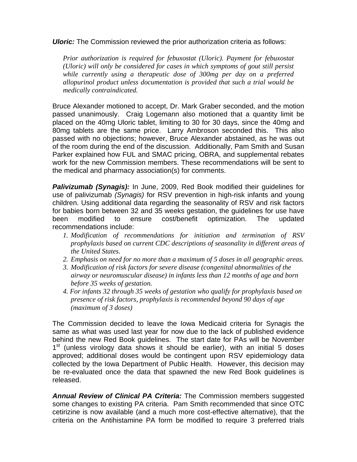*Uloric:* The Commission reviewed the prior authorization criteria as follows:

*Prior authorization is required for febuxostat (Uloric). Payment for febuxostat (Uloric) will only be considered for cases in which symptoms of gout still persist while currently using a therapeutic dose of 300mg per day on a preferred allopurinol product unless documentation is provided that such a trial would be medically contraindicated.* 

Bruce Alexander motioned to accept, Dr. Mark Graber seconded, and the motion passed unanimously. Craig Logemann also motioned that a quantity limit be placed on the 40mg Uloric tablet, limiting to 30 for 30 days, since the 40mg and 80mg tablets are the same price. Larry Ambroson seconded this. This also passed with no objections; however, Bruce Alexander abstained, as he was out of the room during the end of the discussion. Additionally, Pam Smith and Susan Parker explained how FUL and SMAC pricing, OBRA, and supplemental rebates work for the new Commission members. These recommendations will be sent to the medical and pharmacy association(s) for comments.

*Palivizumab (Synagis):* In June, 2009, Red Book modified their guidelines for use of palivizumab *(Synagis)* for RSV prevention in high-risk infants and young children. Using additional data regarding the seasonality of RSV and risk factors for babies born between 32 and 35 weeks gestation, the guidelines for use have been modified to ensure cost/benefit optimization. The updated recommendations include:

- *1. Modification of recommendations for initiation and termination of RSV prophylaxis based on current CDC descriptions of seasonality in different areas of the United States.*
- *2. Emphasis on need for no more than a maximum of 5 doses in all geographic areas.*
- *3. Modification of risk factors for severe disease (congenital abnormalities of the airway or neuromuscular disease) in infants less than 12 months of age and born before 35 weeks of gestation.*
- *4. For infants 32 through 35 weeks of gestation who qualify for prophylaxis based on presence of risk factors, prophylaxis is recommended beyond 90 days of age (maximum of 3 doses)*

The Commission decided to leave the Iowa Medicaid criteria for Synagis the same as what was used last year for now due to the lack of published evidence behind the new Red Book guidelines. The start date for PAs will be November  $1<sup>st</sup>$  (unless virology data shows it should be earlier), with an initial 5 doses approved; additional doses would be contingent upon RSV epidemiology data collected by the Iowa Department of Public Health. However, this decision may be re-evaluated once the data that spawned the new Red Book guidelines is released.

*Annual Review of Clinical PA Criteria:* The Commission members suggested some changes to existing PA criteria. Pam Smith recommended that since OTC cetirizine is now available (and a much more cost-effective alternative), that the criteria on the Antihistamine PA form be modified to require 3 preferred trials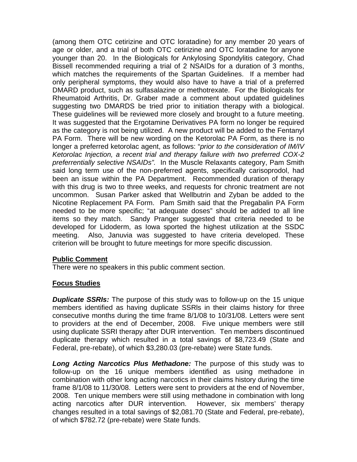(among them OTC cetirizine and OTC loratadine) for any member 20 years of age or older, and a trial of both OTC cetirizine and OTC loratadine for anyone younger than 20. In the Biologicals for Ankylosing Spondylitis category, Chad Bissell recommended requiring a trial of 2 NSAIDs for a duration of 3 months, which matches the requirements of the Spartan Guidelines. If a member had only peripheral symptoms, they would also have to have a trial of a preferred DMARD product, such as sulfasalazine or methotrexate. For the Biologicals for Rheumatoid Arthritis, Dr. Graber made a comment about updated guidelines suggesting two DMARDS be tried prior to initiation therapy with a biological. These guidelines will be reviewed more closely and brought to a future meeting. It was suggested that the Ergotamine Derivatives PA form no longer be required as the category is not being utilized. A new product will be added to the Fentanyl PA Form. There will be new wording on the Ketorolac PA Form, as there is no longer a preferred ketorolac agent, as follows: "*prior to the consideration of IM/IV Ketorolac Injection, a recent trial and therapy failure with two preferred COX-2 preferrentially selective NSAIDs".* In the Muscle Relaxants category, Pam Smith said long term use of the non-preferred agents, specifically carisoprodol, had been an issue within the PA Department. Recommended duration of therapy with this drug is two to three weeks, and requests for chronic treatment are not uncommon. Susan Parker asked that Wellbutrin and Zyban be added to the Nicotine Replacement PA Form. Pam Smith said that the Pregabalin PA Form needed to be more specific; "at adequate doses" should be added to all line items so they match. Sandy Pranger suggested that criteria needed to be developed for Lidoderm, as Iowa sported the highest utilization at the SSDC meeting. Also, Januvia was suggested to have criteria developed. These criterion will be brought to future meetings for more specific discussion.

## **Public Comment**

There were no speakers in this public comment section.

## **Focus Studies**

*Duplicate SSRIs:* The purpose of this study was to follow-up on the 15 unique members identified as having duplicate SSRls in their claims history for three consecutive months during the time frame 8/1/08 to 10/31/08. Letters were sent to providers at the end of December, 2008. Five unique members were still using duplicate SSRI therapy after DUR intervention. Ten members discontinued duplicate therapy which resulted in a total savings of \$8,723.49 (State and Federal, pre-rebate), of which \$3,280.03 (pre-rebate) were State funds.

*Long Acting Narcotics Plus Methadone:* The purpose of this study was to follow-up on the 16 unique members identified as using methadone in combination with other long acting narcotics in their claims history during the time frame 8/1/08 to 11/30/08. Letters were sent to providers at the end of November, 2008. Ten unique members were still using methadone in combination with long acting narcotics after DUR intervention. However, six members' therapy changes resulted in a total savings of \$2,081.70 (State and Federal, pre-rebate), of which \$782.72 (pre-rebate) were State funds.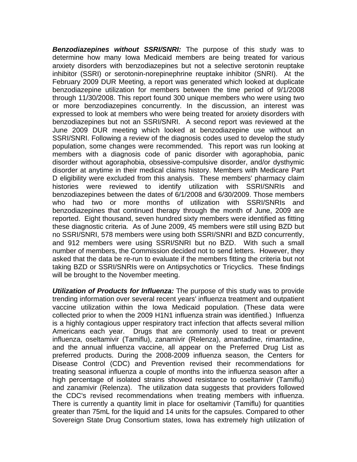*Benzodiazepines without SSRI/SNRI:* The purpose of this study was to determine how many Iowa Medicaid members are being treated for various anxiety disorders with benzodiazepines but not a selective serotonin reuptake inhibitor (SSRI) or serotonin-norepinephrine reuptake inhibitor (SNRI). At the February 2009 DUR Meeting, a report was generated which looked at duplicate benzodiazepine utilization for members between the time period of 9/1/2008 through 11/30/2008. This report found 300 unique members who were using two or more benzodiazepines concurrently. In the discussion, an interest was expressed to look at members who were being treated for anxiety disorders with benzodiazepines but not an SSRI/SNRI. A second report was reviewed at the June 2009 DUR meeting which looked at benzodiazepine use without an SSRI/SNRI. Following a review of the diagnosis codes used to develop the study population, some changes were recommended. This report was run looking at members with a diagnosis code of panic disorder with agoraphobia, panic disorder without agoraphobia, obsessive-compulsive disorder, and/or dysthymic disorder at anytime in their medical claims history. Members with Medicare Part D eligibility were excluded from this analysis. These members' pharmacy claim histories were reviewed to identify utilization with SSRI/SNRIs and benzodiazepines between the dates of 6/1/2008 and 6/30/2009. Those members who had two or more months of utilization with SSRI/SNRIs and benzodiazepines that continued therapy through the month of June, 2009 are reported. Eight thousand, seven hundred sixty members were identified as fitting these diagnostic criteria. As of June 2009, 45 members were still using BZD but no SSRI/SNRI, 578 members were using both SSRI/SNRI and BZD concurrently, and 912 members were using SSRI/SNRI but no BZD. With such a small number of members, the Commission decided not to send letters. However, they asked that the data be re-run to evaluate if the members fitting the criteria but not taking BZD or SSRI/SNRIs were on Antipsychotics or Tricyclics. These findings will be brought to the November meeting.

*Utilization of Products for Influenza:* The purpose of this study was to provide trending information over several recent years' influenza treatment and outpatient vaccine utilization within the Iowa Medicaid population. (These data were collected prior to when the 2009 H1N1 influenza strain was identified.) Influenza is a highly contagious upper respiratory tract infection that affects several million Americans each year. Drugs that are commonly used to treat or prevent influenza, oseltamivir (Tamiflu), zanamivir (Relenza), amantadine, rimantadine, and the annual influenza vaccine, all appear on the Preferred Drug List as preferred products. During the 2008-2009 influenza season, the Centers for Disease Control (CDC) and Prevention revised their recommendations for treating seasonal influenza a couple of months into the influenza season after a high percentage of isolated strains showed resistance to oseltamivir (Tamiflu) and zanamivir (Relenza). The utilization data suggests that providers followed the CDC's revised recommendations when treating members with influenza. There is currently a quantity limit in place for oseltamivir (Tamiflu) for quantities greater than 75mL for the liquid and 14 units for the capsules. Compared to other Sovereign State Drug Consortium states, Iowa has extremely high utilization of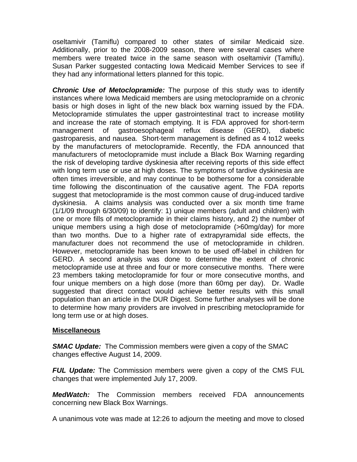oseltamivir (Tamiflu) compared to other states of similar Medicaid size. Additionally, prior to the 2008-2009 season, there were several cases where members were treated twice in the same season with oseltamivir (Tamiflu). Susan Parker suggested contacting Iowa Medicaid Member Services to see if they had any informational letters planned for this topic.

*Chronic Use of Metoclopramide:* The purpose of this study was to identify instances where Iowa Medicaid members are using metoclopramide on a chronic basis or high doses in light of the new black box warning issued by the FDA. Metoclopramide stimulates the upper gastrointestinal tract to increase motility and increase the rate of stomach emptying. It is FDA approved for short-term management of gastroesophageal reflux disease (GERD), diabetic gastroparesis, and nausea. Short-term management is defined as 4 to12 weeks by the manufacturers of metoclopramide. Recently, the FDA announced that manufacturers of metoclopramide must include a Black Box Warning regarding the risk of developing tardive dyskinesia after receiving reports of this side effect with long term use or use at high doses. The symptoms of tardive dyskinesia are often times irreversible, and may continue to be bothersome for a considerable time following the discontinuation of the causative agent. The FDA reports suggest that metoclopramide is the most common cause of drug-induced tardive dyskinesia. A claims analysis was conducted over a six month time frame (1/1/09 through 6/30/09) to identify: 1) unique members (adult and children) with one or more fills of metoclopramide in their claims history, and 2) the number of unique members using a high dose of metoclopramide (>60mg/day) for more than two months. Due to a higher rate of extrapyramidal side effects, the manufacturer does not recommend the use of metoclopramide in children. However, metoclopramide has been known to be used off-label in children for GERD. A second analysis was done to determine the extent of chronic metoclopramide use at three and four or more consecutive months. There were 23 members taking metoclopramide for four or more consecutive months, and four unique members on a high dose (more than 60mg per day). Dr. Wadle suggested that direct contact would achieve better results with this small population than an article in the DUR Digest. Some further analyses will be done to determine how many providers are involved in prescribing metoclopramide for long term use or at high doses.

## **Miscellaneous**

*SMAC Update:* The Commission members were given a copy of the SMAC changes effective August 14, 2009.

*FUL Update:* The Commission members were given a copy of the CMS FUL changes that were implemented July 17, 2009.

*MedWatch:* The Commission members received FDA announcements concerning new Black Box Warnings.

A unanimous vote was made at 12:26 to adjourn the meeting and move to closed